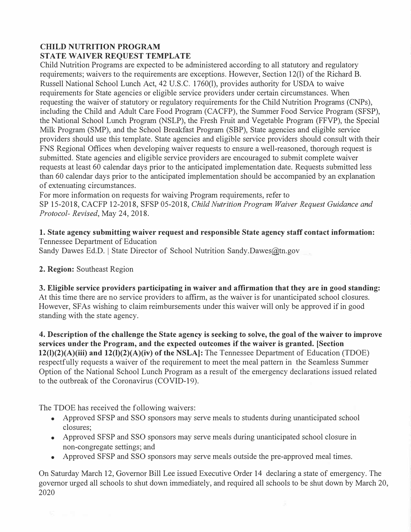# **CHILD NUTRITION PROGRAM STATE WAIVER REQUEST TEMPLATE**

Child Nutrition Programs are expected to be administered according to all statutory and regulatory requirements; waivers to the requirements are exceptions. However, Section 12(1) of the Richard B. Russell National School Lunch Act, 42 U.S.C. 1760(1), provides authority for USDA to waive requirements for State agencies or eligible service providers under certain circumstances. When requesting the waiver of statutory or regulatory requirements for the Child Nutrition Programs (CNPs), including the Child and Adult Care Food Program (CACFP), the Summer Food Service Program (SFSP), the National School Lunch Program (NSLP), the Fresh Fruit and Vegetable Program (FFVP), the Special Milk Program (SMP), and the School Breakfast Program (SBP), State agencies and eligible service providers should use this template. State agencies and eligible service providers should consult with their FNS Regional Offices when developing waiver requests to ensure a well-reasoned, thorough request is submitted. State agencies and eligible service providers are encouraged to submit complete waiver requests at least 60 calendar days prior to the anticipated implementation date. Requests submitted less than 60 calendar days prior to the anticipated implementation should be accompanied by an explanation of extenuating circumstances.

For more information on requests for waiving Program requirements, refer to SP 15-2018, CACFP 12-2018, SFSP 05-2018, *Child Nutrition Program Waiver Request Guidance and Protocol- Revised,* May 24, 2018.

**1. State agency submitting waiver request and responsible State agency staff contact information:**  Tennessee Department of Education

Sandy Dawes Ed.D. | State Director of School Nutrition Sandy.Dawes@tn.gov

# **2. Region:** Southeast Region

**3. Eligible service providers participating in waiver and affirmation that they are in good standing:**  At this time there are no service providers to affirm, as the waiver is for unanticipated school closures. However, SFAs wishing to claim reimbursements under this waiver will only be approved if in good standing with the state agency.

**4. Description of the challenge the State agency is seeking to solve, the goal of the waiver** to **improve services under the Program, and the expected outcomes if the waiver is granted. [Section 12(1)(2)(A)(iii) and 12(1)(2)(A)(iv) of the NSLA]:** The Tennessee Department of Education (TDOE) respectfully requests a waiver of the requirement to meet the meal pattern in the Seamless Summer Option of the National School Lunch Program as a result of the emergency declarations issued related to the outbreak of the Coronavirus (COVID-19).

The TDOE has received the following waivers:

- Approved SFSP and SSO sponsors may serve meals to students during unanticipated school closures;
- Approved SFSP and SSO sponsors may serve meals during unanticipated school closure in non-congregate settings; and
- Approved SFSP and SSO sponsors may serve meals outside the pre-approved meal times.

On Saturday March 12, Governor Bill Lee issued Executive Order 14 declaring a state of emergency. The governor urged all schools to shut down immediately, and required all schools to be shut down by March 20, 2020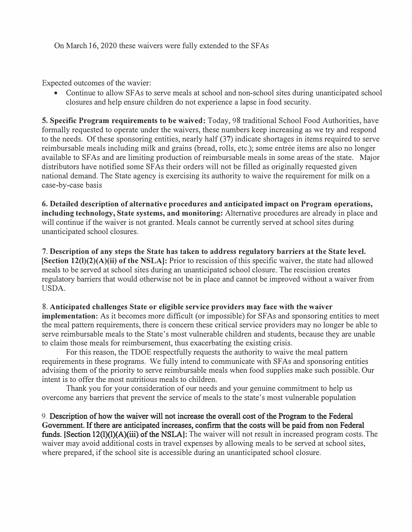Expected outcomes of the wavier:

• Continue to allow SF As to serve meals at school and non-school sites during unanticipated school closures and help ensure children do not experience a lapse in food security.

**5. Specific Program requirements to be waived:** Today, 98 traditional School Food Authorities, have formally requested to operate under the waivers, these numbers keep increasing as we try and respond to the needs. Of these sponsoring entities, nearly half (37) indicate shortages in items required to serve reimbursable meals including milk and grains (bread, rolls, etc.); some entrée items are also no longer available to SFAs and are limiting production of reimbursable meals in some areas of the state. Major distributors have notified some SFAs their orders will not be filled as originally requested given national demand. The State agency is exercising its authority to waive the requirement for milk on a case-by-case basis

**6. Detailed description of alternative procedures and anticipated impact on Program operations, including technology, State systems, and monitoring:** Alternative procedures are already in place and will continue if the waiver is not granted. Meals cannot be currently served at school sites during unanticipated school closures.

7. **Description of any steps the State has taken to address regulatory barriers at the State level. [Section 12(1)(2)(A)(ii) of the NSLA]:** Prior to rescission of this specific waiver, the state had allowed meals to be served at school sites during an unanticipated school closure. The rescission creates regulatory barriers that would otherwise not be in place and cannot be improved without a waiver from USDA.

#### 8. **Anticipated challenges State or eligible service providers may face with the waiver**

**implementation:** As it becomes more difficult (or impossible) for SFAs and sponsoring entities to meet the meal pattern requirements, there is concern these critical service providers may no longer be able to serve reimbursable meals to the State's most vulnerable children and students, because they are unable to claim those meals for reimbursement, thus exacerbating the existing crisis.

For this reason, the TDOE respectfully requests the authority to waive the meal pattern requirements in these programs. We fully intend to communicate with SFAs and sponsoring entities advising them of the priority to serve reimbursable meals when food supplies make such possible. Our intent is to offer the most nutritious meals to children.

Thank you for your consideration of our needs and your genuine commitment to help us overcome any barriers that prevent the service of meals to the state's most vulnerable population

9. Description of how the waiver will not increase the overall cost of the Program to the Federal **G**overnment. If there are anticipated increases, confirm that the costs will be paid from nonFederal funds. **[**Section 12(l)(l)(A)(iii) of the NSLA**]**: The waiver will not result in increased program costs. The waiver may avoid additional costs in travel expenses by allowing meals to be served at school sites, where prepared, if the school site is accessible during an unanticipated school closure.